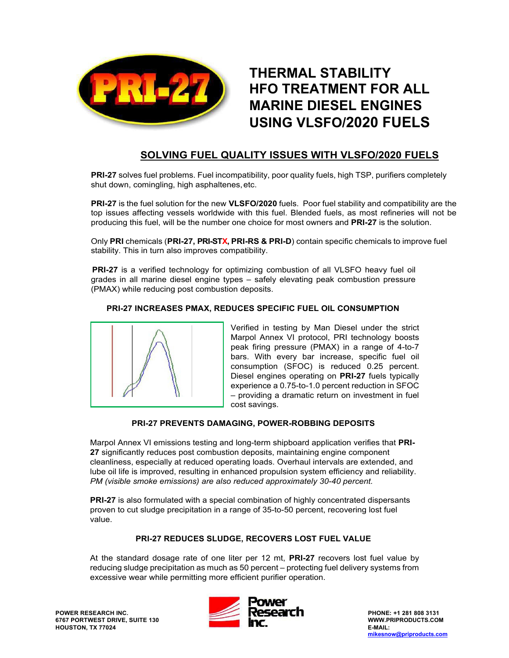

# **THERMAL STABILITY HFO TREATMENT FOR ALL MARINE DIESEL ENGINES USING VLSFO/2020 FUELS**

# **SOLVING FUEL QUALITY ISSUES WITH VLSFO/2020 FUELS**

**PRI-27** solves fuel problems. Fuel incompatibility, poor quality fuels, high TSP, purifiers completely shut down, comingling, high asphaltenes, etc.

**PRI-27** is the fuel solution for the new **VLSFO/2020** fuels. Poor fuel stability and compatibility are the top issues affecting vessels worldwide with this fuel. Blended fuels, as most refineries will not be producing this fuel, will be the number one choice for most owners and **PRI-27** is the solution.

Only **PRI** chemicals (**PRI-27, PRI-STX, PRI-RS & PRI-D**) contain specific chemicals to improve fuel stability. This in turn also improves compatibility.

**PRI-27** is a verified technology for optimizing combustion of all VLSFO heavy fuel oil grades in all marine diesel engine types – safely elevating peak combustion pressure (PMAX) while reducing post combustion deposits.

**PRI-27 INCREASES PMAX, REDUCES SPECIFIC FUEL OIL CONSUMPTION**

Verified in testing by Man Diesel under the strict Marpol Annex VI protocol, PRI technology boosts peak firing pressure (PMAX) in a range of 4-to-7 bars. With every bar increase, specific fuel oil consumption (SFOC) is reduced 0.25 percent. Diesel engines operating on **PRI-27** fuels typically experience a 0.75-to-1.0 percent reduction in SFOC – providing a dramatic return on investment in fuel cost savings.

# **PRI-27 PREVENTS DAMAGING, POWER-ROBBING DEPOSITS**

Marpol Annex VI emissions testing and long-term shipboard application verifies that **PRI-27** significantly reduces post combustion deposits, maintaining engine component cleanliness, especially at reduced operating loads. Overhaul intervals are extended, and lube oil life is improved, resulting in enhanced propulsion system efficiency and reliability. *PM (visible smoke emissions) are also reduced approximately 30-40 percent.*

**PRI-27** is also formulated with a special combination of highly concentrated dispersants proven to cut sludge precipitation in a range of 35-to-50 percent, recovering lost fuel value.

# **PRI-27 REDUCES SLUDGE, RECOVERS LOST FUEL VALUE**

At the standard dosage rate of one liter per 12 mt, **PRI-27** recovers lost fuel value by reducing sludge precipitation as much as 50 percent – protecting fuel delivery systems from excessive wear while permitting more efficient purifier operation.